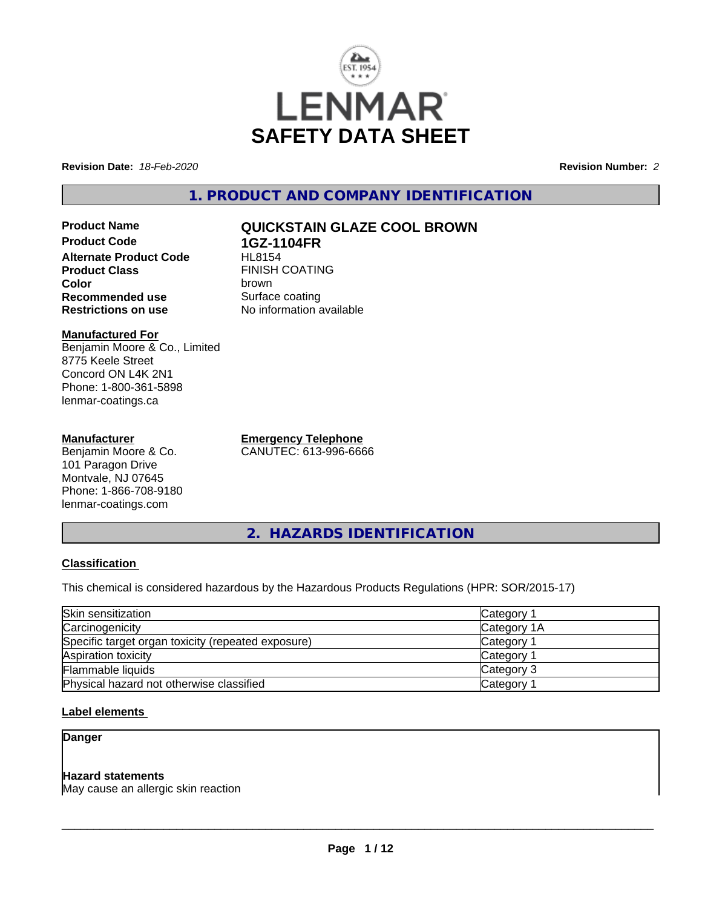

**Revision Date:** *18-Feb-2020* **Revision Number:** *2*

**1. PRODUCT AND COMPANY IDENTIFICATION**

**Product Name QUICKSTAIN GLAZE COOL BROWN Product Code 1GZ-1104FR Alternate Product Code**<br>Product Class **Color** brown **Recommended use** Surface coating<br> **Restrictions on use** No information and No

**Manufactured For** Benjamin Moore & Co., Limited 8775 Keele Street Concord ON L4K 2N1 Phone: 1-800-361-5898 lenmar-coatings.ca

#### **Manufacturer**

Benjamin Moore & Co. 101 Paragon Drive Montvale, NJ 07645 Phone: 1-866-708-9180 lenmar-coatings.com

**Emergency Telephone** CANUTEC: 613-996-6666

**FINISH COATING** 

**No information available** 

**2. HAZARDS IDENTIFICATION**

# **Classification**

This chemical is considered hazardous by the Hazardous Products Regulations (HPR: SOR/2015-17)

| Skin sensitization                                 | Category 1            |  |
|----------------------------------------------------|-----------------------|--|
| Carcinogenicity                                    | Category 1A           |  |
| Specific target organ toxicity (repeated exposure) | Category <sup>2</sup> |  |
| Aspiration toxicity                                | Category 1            |  |
| Flammable liquids                                  | Category 3            |  |
| Physical hazard not otherwise classified           | Category <sup>2</sup> |  |

# **Label elements**

# **Danger**

# **Hazard statements**

May cause an allergic skin reaction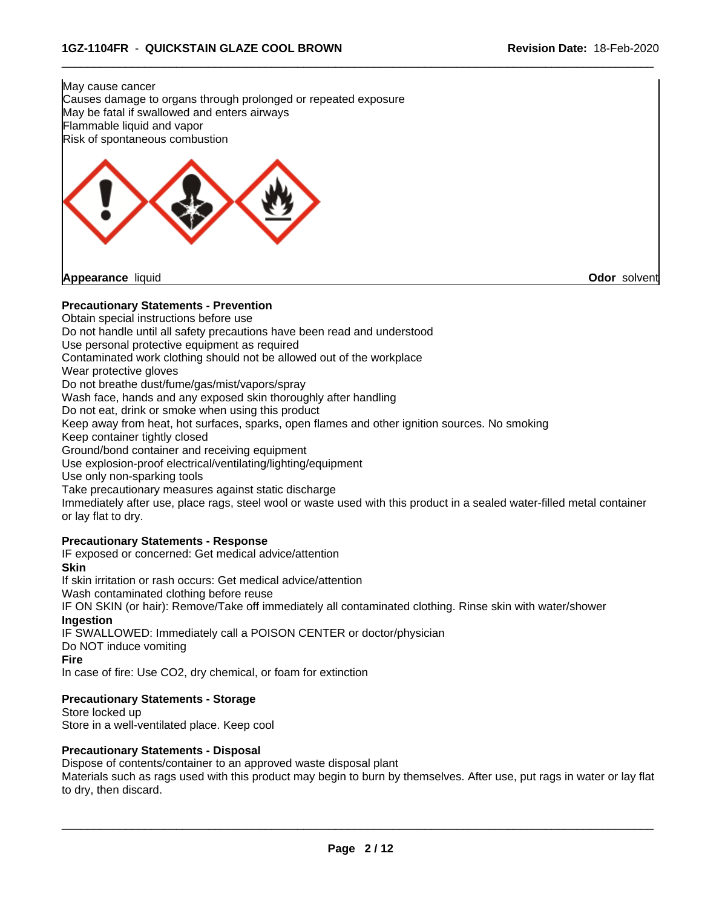

**Appearance** liquid **Odor** solvent

#### **Precautionary Statements - Prevention**

Obtain special instructions before use

Do not handle until all safety precautions have been read and understood

Use personal protective equipment as required

Contaminated work clothing should not be allowed out of the workplace

Wear protective gloves

Do not breathe dust/fume/gas/mist/vapors/spray

Wash face, hands and any exposed skin thoroughly after handling

Do not eat, drink or smoke when using this product

Keep away from heat, hot surfaces, sparks, open flames and other ignition sources. No smoking

Keep container tightly closed

Ground/bond container and receiving equipment

Use explosion-proof electrical/ventilating/lighting/equipment

Use only non-sparking tools

Take precautionary measures against static discharge

Immediately after use, place rags, steel wool or waste used with this product in a sealed water-filled metal container or lay flat to dry.

 $\overline{\phantom{a}}$  ,  $\overline{\phantom{a}}$  ,  $\overline{\phantom{a}}$  ,  $\overline{\phantom{a}}$  ,  $\overline{\phantom{a}}$  ,  $\overline{\phantom{a}}$  ,  $\overline{\phantom{a}}$  ,  $\overline{\phantom{a}}$  ,  $\overline{\phantom{a}}$  ,  $\overline{\phantom{a}}$  ,  $\overline{\phantom{a}}$  ,  $\overline{\phantom{a}}$  ,  $\overline{\phantom{a}}$  ,  $\overline{\phantom{a}}$  ,  $\overline{\phantom{a}}$  ,  $\overline{\phantom{a}}$ 

#### **Precautionary Statements - Response**

IF exposed or concerned: Get medical advice/attention

**Skin**

If skin irritation or rash occurs: Get medical advice/attention

Wash contaminated clothing before reuse

IF ON SKIN (or hair): Remove/Take off immediately all contaminated clothing. Rinse skin with water/shower **Ingestion**

IF SWALLOWED: Immediately call a POISON CENTER or doctor/physician

Do NOT induce vomiting

**Fire**

In case of fire: Use CO2, dry chemical, or foam for extinction

#### **Precautionary Statements - Storage**

Store locked up Store in a well-ventilated place. Keep cool

#### **Precautionary Statements - Disposal**

Dispose of contents/container to an approved waste disposal plant

Materials such as rags used with this product may begin to burn by themselves. After use, put rags in water or lay flat to dry, then discard.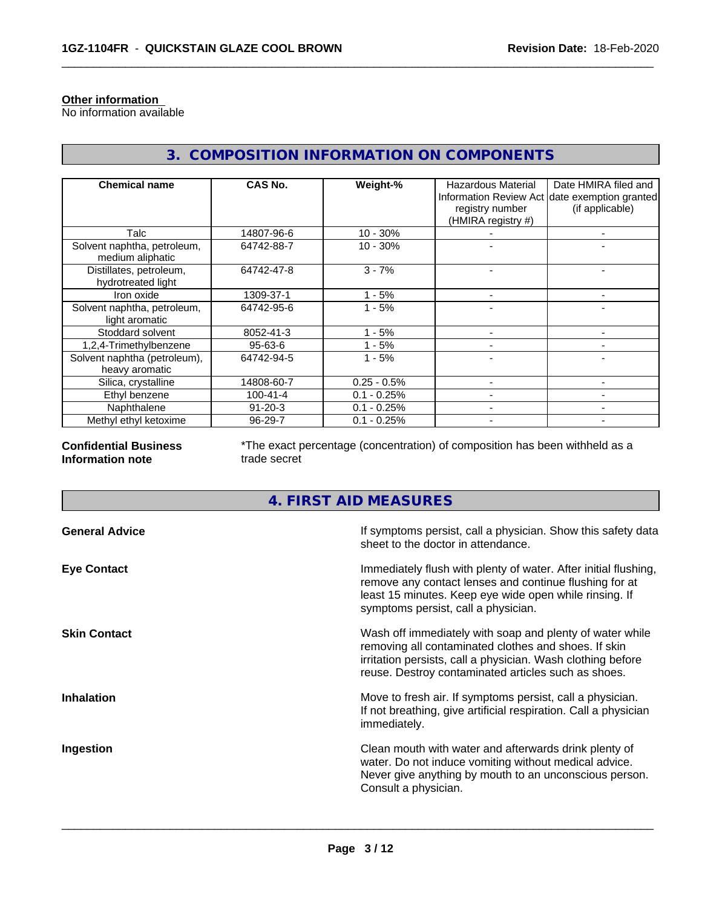### **Other information**

No information available

| <b>Chemical name</b>                            | CAS No.        | Weight-%      | Hazardous Material<br>registry number<br>(HMIRA registry #) | Date HMIRA filed and<br>Information Review Act date exemption granted<br>(if applicable) |
|-------------------------------------------------|----------------|---------------|-------------------------------------------------------------|------------------------------------------------------------------------------------------|
| Talc                                            | 14807-96-6     | $10 - 30%$    |                                                             |                                                                                          |
| Solvent naphtha, petroleum,<br>medium aliphatic | 64742-88-7     | $10 - 30%$    |                                                             |                                                                                          |
| Distillates, petroleum,<br>hydrotreated light   | 64742-47-8     | $3 - 7%$      |                                                             |                                                                                          |
| Iron oxide                                      | 1309-37-1      | - 5%          |                                                             |                                                                                          |
| Solvent naphtha, petroleum,<br>light aromatic   | 64742-95-6     | $1 - 5%$      |                                                             |                                                                                          |
| Stoddard solvent                                | 8052-41-3      | $1 - 5%$      |                                                             |                                                                                          |
| 1,2,4-Trimethylbenzene                          | $95 - 63 - 6$  | $-5%$         |                                                             |                                                                                          |
| Solvent naphtha (petroleum),<br>heavy aromatic  | 64742-94-5     | $1 - 5%$      |                                                             |                                                                                          |
| Silica, crystalline                             | 14808-60-7     | $0.25 - 0.5%$ |                                                             |                                                                                          |
| Ethyl benzene                                   | $100 - 41 - 4$ | $0.1 - 0.25%$ |                                                             |                                                                                          |
| Naphthalene                                     | $91 - 20 - 3$  | $0.1 - 0.25%$ |                                                             |                                                                                          |
| Methyl ethyl ketoxime                           | 96-29-7        | $0.1 - 0.25%$ |                                                             |                                                                                          |

**3. COMPOSITION INFORMATION ON COMPONENTS**

# **Confidential Business Information note**

\*The exact percentage (concentration) of composition has been withheld as a trade secret

 $\overline{\phantom{a}}$  ,  $\overline{\phantom{a}}$  ,  $\overline{\phantom{a}}$  ,  $\overline{\phantom{a}}$  ,  $\overline{\phantom{a}}$  ,  $\overline{\phantom{a}}$  ,  $\overline{\phantom{a}}$  ,  $\overline{\phantom{a}}$  ,  $\overline{\phantom{a}}$  ,  $\overline{\phantom{a}}$  ,  $\overline{\phantom{a}}$  ,  $\overline{\phantom{a}}$  ,  $\overline{\phantom{a}}$  ,  $\overline{\phantom{a}}$  ,  $\overline{\phantom{a}}$  ,  $\overline{\phantom{a}}$ 

# **4. FIRST AID MEASURES**

| <b>General Advice</b> | If symptoms persist, call a physician. Show this safety data<br>sheet to the doctor in attendance.                                                                                                                                     |
|-----------------------|----------------------------------------------------------------------------------------------------------------------------------------------------------------------------------------------------------------------------------------|
| <b>Eye Contact</b>    | Immediately flush with plenty of water. After initial flushing,<br>remove any contact lenses and continue flushing for at<br>least 15 minutes. Keep eye wide open while rinsing. If<br>symptoms persist, call a physician.             |
| <b>Skin Contact</b>   | Wash off immediately with soap and plenty of water while<br>removing all contaminated clothes and shoes. If skin<br>irritation persists, call a physician. Wash clothing before<br>reuse. Destroy contaminated articles such as shoes. |
| <b>Inhalation</b>     | Move to fresh air. If symptoms persist, call a physician.<br>If not breathing, give artificial respiration. Call a physician<br>immediately.                                                                                           |
| Ingestion             | Clean mouth with water and afterwards drink plenty of<br>water. Do not induce vomiting without medical advice.<br>Never give anything by mouth to an unconscious person.<br>Consult a physician.                                       |
|                       |                                                                                                                                                                                                                                        |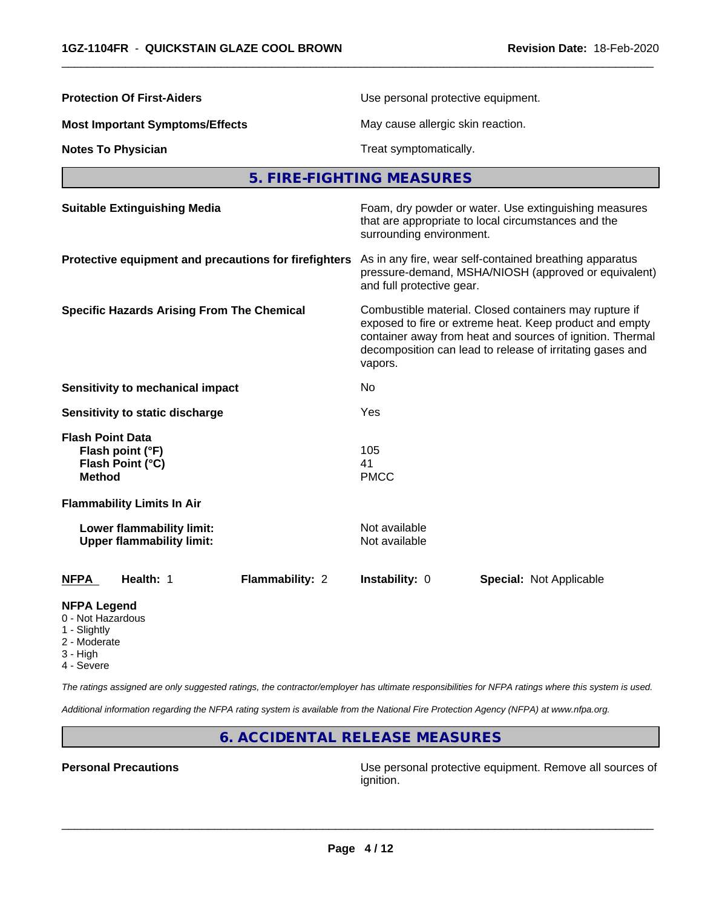| <b>Protection Of First-Aiders</b>                                                | Use personal protective equipment.                                                                                                                                                                                                                     |  |  |  |
|----------------------------------------------------------------------------------|--------------------------------------------------------------------------------------------------------------------------------------------------------------------------------------------------------------------------------------------------------|--|--|--|
| <b>Most Important Symptoms/Effects</b>                                           | May cause allergic skin reaction.                                                                                                                                                                                                                      |  |  |  |
| <b>Notes To Physician</b>                                                        | Treat symptomatically.                                                                                                                                                                                                                                 |  |  |  |
|                                                                                  | 5. FIRE-FIGHTING MEASURES                                                                                                                                                                                                                              |  |  |  |
| <b>Suitable Extinguishing Media</b>                                              | Foam, dry powder or water. Use extinguishing measures<br>that are appropriate to local circumstances and the<br>surrounding environment.                                                                                                               |  |  |  |
| Protective equipment and precautions for firefighters                            | As in any fire, wear self-contained breathing apparatus<br>pressure-demand, MSHA/NIOSH (approved or equivalent)<br>and full protective gear.                                                                                                           |  |  |  |
| <b>Specific Hazards Arising From The Chemical</b>                                | Combustible material. Closed containers may rupture if<br>exposed to fire or extreme heat. Keep product and empty<br>container away from heat and sources of ignition. Thermal<br>decomposition can lead to release of irritating gases and<br>vapors. |  |  |  |
| <b>Sensitivity to mechanical impact</b>                                          | No                                                                                                                                                                                                                                                     |  |  |  |
| Sensitivity to static discharge                                                  | Yes                                                                                                                                                                                                                                                    |  |  |  |
| <b>Flash Point Data</b><br>Flash point (°F)<br>Flash Point (°C)<br><b>Method</b> | 105<br>41<br><b>PMCC</b>                                                                                                                                                                                                                               |  |  |  |
| <b>Flammability Limits In Air</b>                                                |                                                                                                                                                                                                                                                        |  |  |  |
| Lower flammability limit:<br><b>Upper flammability limit:</b>                    | Not available<br>Not available                                                                                                                                                                                                                         |  |  |  |
| Health: 1<br><b>Flammability: 2</b><br><b>NFPA</b>                               | Instability: 0<br><b>Special: Not Applicable</b>                                                                                                                                                                                                       |  |  |  |
| <b>NIEDA LAMARA</b>                                                              |                                                                                                                                                                                                                                                        |  |  |  |

#### **NFPA Legend**

- 0 Not Hazardous
- 1 Slightly
- 2 Moderate
- 3 High
- 4 Severe

*The ratings assigned are only suggested ratings, the contractor/employer has ultimate responsibilities for NFPA ratings where this system is used.*

*Additional information regarding the NFPA rating system is available from the National Fire Protection Agency (NFPA) at www.nfpa.org.*

**6. ACCIDENTAL RELEASE MEASURES**

**Personal Precautions Precautions Personal protective equipment. Remove all sources of** ignition.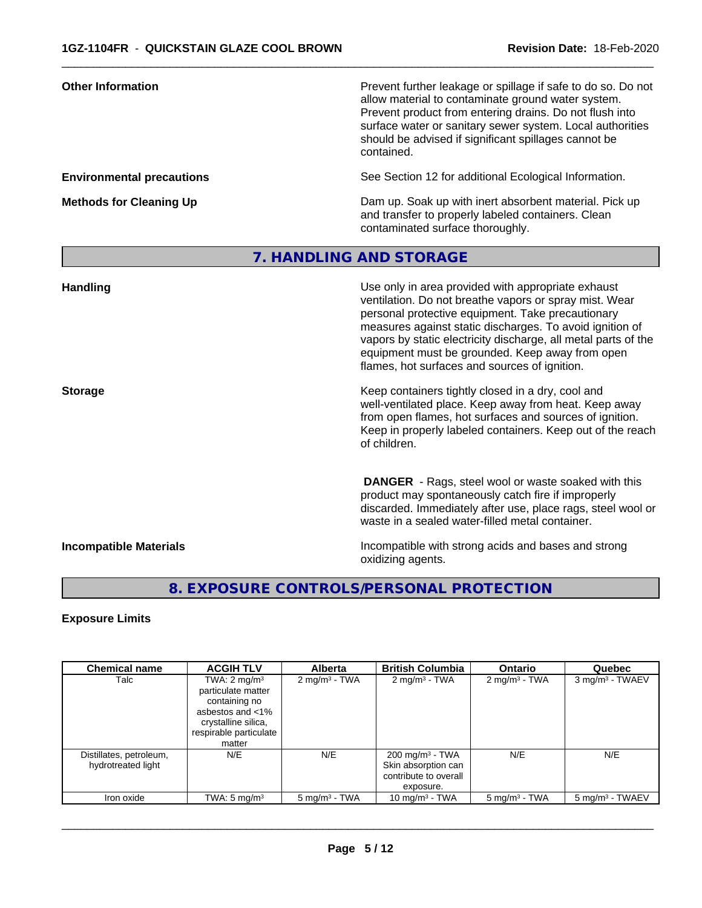| Prevent further leakage or spillage if safe to do so. Do not<br>allow material to contaminate ground water system.<br>Prevent product from entering drains. Do not flush into<br>surface water or sanitary sewer system. Local authorities<br>should be advised if significant spillages cannot be<br>contained.                                                                                    |
|-----------------------------------------------------------------------------------------------------------------------------------------------------------------------------------------------------------------------------------------------------------------------------------------------------------------------------------------------------------------------------------------------------|
| See Section 12 for additional Ecological Information.                                                                                                                                                                                                                                                                                                                                               |
| Dam up. Soak up with inert absorbent material. Pick up<br>and transfer to properly labeled containers. Clean<br>contaminated surface thoroughly.                                                                                                                                                                                                                                                    |
| 7. HANDLING AND STORAGE                                                                                                                                                                                                                                                                                                                                                                             |
| Use only in area provided with appropriate exhaust<br>ventilation. Do not breathe vapors or spray mist. Wear<br>personal protective equipment. Take precautionary<br>measures against static discharges. To avoid ignition of<br>vapors by static electricity discharge, all metal parts of the<br>equipment must be grounded. Keep away from open<br>flames, hot surfaces and sources of ignition. |
| Keep containers tightly closed in a dry, cool and<br>well-ventilated place. Keep away from heat. Keep away<br>from open flames, hot surfaces and sources of ignition.<br>Keep in properly labeled containers. Keep out of the reach                                                                                                                                                                 |
|                                                                                                                                                                                                                                                                                                                                                                                                     |

 **DANGER** - Rags, steel wool or waste soaked with this product may spontaneously catch fire if improperly discarded. Immediately after use, place rags, steel wool or waste in a sealed water-filled metal container.

**Incompatible Materials Incompatible Materials Incompatible with strong acids and bases and strong** oxidizing agents.

# **8. EXPOSURE CONTROLS/PERSONAL PROTECTION**

# **Exposure Limits**

| <b>Chemical name</b>                          | <b>ACGIH TLV</b>                                                                                                                              | <b>Alberta</b>           | <b>British Columbia</b>                                                                 | <b>Ontario</b>           | Quebec                      |
|-----------------------------------------------|-----------------------------------------------------------------------------------------------------------------------------------------------|--------------------------|-----------------------------------------------------------------------------------------|--------------------------|-----------------------------|
| Talc                                          | TWA: $2 \text{ mg/m}^3$<br>particulate matter<br>containing no<br>asbestos and <1%<br>crystalline silica,<br>respirable particulate<br>matter | $2 \text{ mg/m}^3$ - TWA | $2 \text{ mg/m}^3$ - TWA                                                                | $2 \text{ mg/m}^3$ - TWA | 3 mg/m <sup>3</sup> - TWAEV |
| Distillates, petroleum,<br>hydrotreated light | N/E                                                                                                                                           | N/E                      | $200 \text{ mg/m}^3$ - TWA<br>Skin absorption can<br>contribute to overall<br>exposure. | N/E                      | N/E                         |
| Iron oxide                                    | TWA: $5 \text{ mg/m}^3$                                                                                                                       | $5 \text{ mg/m}^3$ - TWA | 10 mg/m $3$ - TWA                                                                       | $5 \text{ mg/m}^3$ - TWA | 5 mg/m <sup>3</sup> - TWAEV |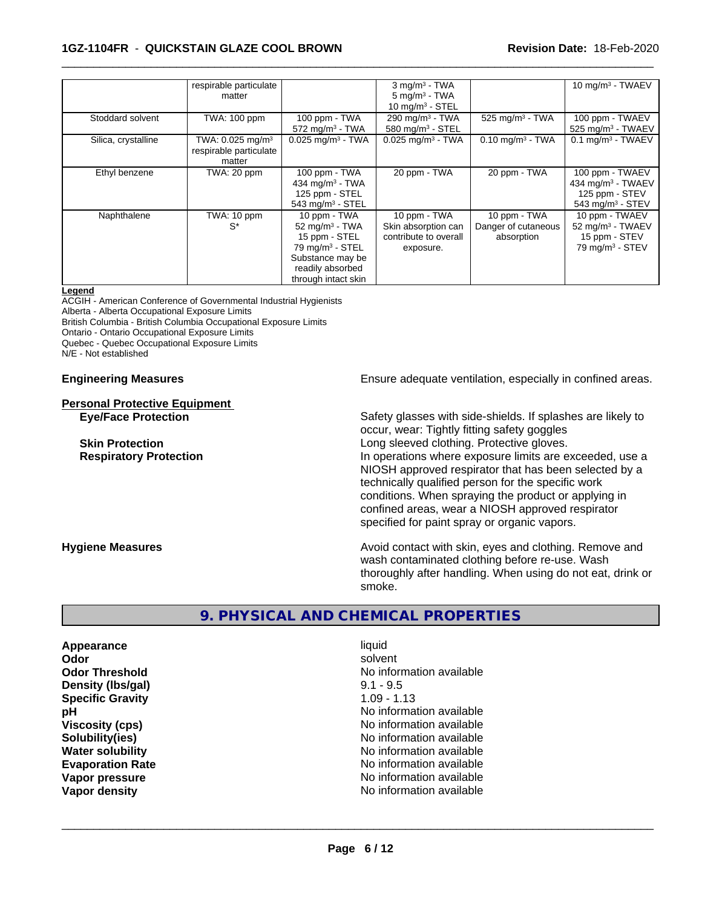### **1GZ-1104FR** - **QUICKSTAIN GLAZE COOL BROWN Revision Date:** 18-Feb-2020

|                     | respirable particulate         |                                 | $3$ mg/m <sup>3</sup> - TWA     |                                | 10 mg/m $3$ - TWAEV             |
|---------------------|--------------------------------|---------------------------------|---------------------------------|--------------------------------|---------------------------------|
|                     | matter                         |                                 | $5 \text{ mg/m}^3$ - TWA        |                                |                                 |
|                     |                                |                                 | 10 mg/m $3 -$ STEL              |                                |                                 |
| Stoddard solvent    | TWA: 100 ppm                   | $100$ ppm $-$ TWA               | 290 mg/m $3$ - TWA              | $525$ mg/m <sup>3</sup> - TWA  | 100 ppm - TWAEV                 |
|                     |                                | $572$ mg/m <sup>3</sup> - TWA   | 580 mg/m $3 -$ STEL             |                                | 525 mg/m <sup>3</sup> - TWAEV   |
| Silica, crystalline | TWA: $0.025$ mg/m <sup>3</sup> | $0.025$ mg/m <sup>3</sup> - TWA | $0.025$ mg/m <sup>3</sup> - TWA | $0.10$ mg/m <sup>3</sup> - TWA | $0.1$ mg/m <sup>3</sup> - TWAEV |
|                     | respirable particulate         |                                 |                                 |                                |                                 |
|                     | matter                         |                                 |                                 |                                |                                 |
| Ethyl benzene       | TWA: 20 ppm                    | 100 ppm - TWA                   | 20 ppm - TWA                    | 20 ppm - TWA                   | 100 ppm - TWAEV                 |
|                     |                                | 434 mg/m $3$ - TWA              |                                 |                                | 434 mg/m <sup>3</sup> - TWAEV   |
|                     |                                | 125 ppm - STEL                  |                                 |                                | 125 ppm - STEV                  |
|                     |                                | 543 mg/m $3 -$ STEL             |                                 |                                | 543 mg/m $3 -$ STEV             |
| Naphthalene         | TWA: 10 ppm                    | 10 ppm - TWA                    | 10 ppm - TWA                    | 10 ppm - TWA                   | 10 ppm - TWAEV                  |
|                     | $S^*$                          | 52 mg/m $3$ - TWA               | Skin absorption can             | Danger of cutaneous            | 52 mg/m <sup>3</sup> - TWAEV    |
|                     |                                | 15 ppm - STEL                   | contribute to overall           | absorption                     | 15 ppm - STEV                   |
|                     |                                | $79$ mg/m <sup>3</sup> - STEL   | exposure.                       |                                | 79 mg/m $3 -$ STEV              |
|                     |                                | Substance may be                |                                 |                                |                                 |
|                     |                                | readily absorbed                |                                 |                                |                                 |
|                     |                                | through intact skin             |                                 |                                |                                 |

 $\overline{\phantom{a}}$  ,  $\overline{\phantom{a}}$  ,  $\overline{\phantom{a}}$  ,  $\overline{\phantom{a}}$  ,  $\overline{\phantom{a}}$  ,  $\overline{\phantom{a}}$  ,  $\overline{\phantom{a}}$  ,  $\overline{\phantom{a}}$  ,  $\overline{\phantom{a}}$  ,  $\overline{\phantom{a}}$  ,  $\overline{\phantom{a}}$  ,  $\overline{\phantom{a}}$  ,  $\overline{\phantom{a}}$  ,  $\overline{\phantom{a}}$  ,  $\overline{\phantom{a}}$  ,  $\overline{\phantom{a}}$ 

#### **Legend**

ACGIH - American Conference of Governmental Industrial Hygienists Alberta - Alberta Occupational Exposure Limits British Columbia - British Columbia Occupational Exposure Limits Ontario - Ontario Occupational Exposure Limits Quebec - Quebec Occupational Exposure Limits N/E - Not established

# **Personal Protective Equipment**

**Engineering Measures Ensure adequate ventilation, especially in confined areas.** 

**Eye/Face Protection** Safety glasses with side-shields. If splashes are likely to occur, wear: Tightly fitting safety goggles **Skin Protection Skin Protection Skin Protective gloves.** Long sleeved clothing. Protective gloves. **Respiratory Protection In operations where exposure limits are exceeded, use a** NIOSH approved respirator that has been selected by a technically qualified person for the specific work conditions. When spraying the product or applying in confined areas, wear a NIOSH approved respirator specified for paint spray or organic vapors.

**Hygiene Measures Avoid contact with skin, eyes and clothing. Remove and Avoid contact with skin, eyes and clothing. Remove and Avoid contact with skin, eyes and clothing. Remove and** wash contaminated clothing before re-use. Wash thoroughly after handling. When using do not eat, drink or smoke.

# **9. PHYSICAL AND CHEMICAL PROPERTIES**

**Appearance** liquid **Density (lbs/gal)** 9.1 - 9.5 **Specific Gravity** 1.09 - 1.13

**Odor** solvent **Odor Threshold No information available No information available pH pH**  $\blacksquare$ **Viscosity (cps)** No information available **Solubility(ies)** No information available **Water solubility** No information available **Evaporation Rate No information available No information available Vapor pressure** No information available No information available **Vapor density No information available No information available**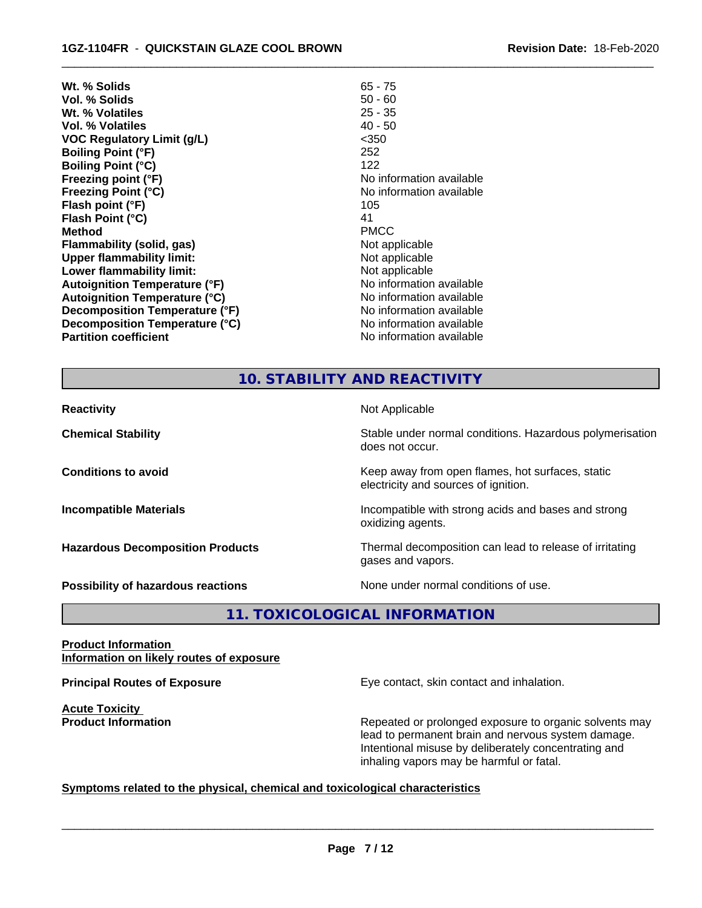| Wt. % Solids                         | $65 - 75$                |
|--------------------------------------|--------------------------|
| Vol. % Solids                        | $50 - 60$                |
| Wt. % Volatiles                      | $25 - 35$                |
| <b>Vol. % Volatiles</b>              | $40 - 50$                |
| <b>VOC Regulatory Limit (g/L)</b>    | $<$ 350                  |
| <b>Boiling Point (°F)</b>            | 252                      |
| <b>Boiling Point (°C)</b>            | 122                      |
| Freezing point (°F)                  | No information available |
| <b>Freezing Point (°C)</b>           | No information available |
| Flash point (°F)                     | 105                      |
| Flash Point (°C)                     | 41                       |
| <b>Method</b>                        | <b>PMCC</b>              |
| Flammability (solid, gas)            | Not applicable           |
| <b>Upper flammability limit:</b>     | Not applicable           |
| Lower flammability limit:            | Not applicable           |
| <b>Autoignition Temperature (°F)</b> | No information available |
| <b>Autoignition Temperature (°C)</b> | No information available |
| Decomposition Temperature (°F)       | No information available |
| Decomposition Temperature (°C)       | No information available |
| <b>Partition coefficient</b>         | No information available |
|                                      |                          |

 $\overline{\phantom{a}}$  ,  $\overline{\phantom{a}}$  ,  $\overline{\phantom{a}}$  ,  $\overline{\phantom{a}}$  ,  $\overline{\phantom{a}}$  ,  $\overline{\phantom{a}}$  ,  $\overline{\phantom{a}}$  ,  $\overline{\phantom{a}}$  ,  $\overline{\phantom{a}}$  ,  $\overline{\phantom{a}}$  ,  $\overline{\phantom{a}}$  ,  $\overline{\phantom{a}}$  ,  $\overline{\phantom{a}}$  ,  $\overline{\phantom{a}}$  ,  $\overline{\phantom{a}}$  ,  $\overline{\phantom{a}}$ 

# **10. STABILITY AND REACTIVITY**

| <b>Reactivity</b>                       | Not Applicable                                                                           |
|-----------------------------------------|------------------------------------------------------------------------------------------|
| <b>Chemical Stability</b>               | Stable under normal conditions. Hazardous polymerisation<br>does not occur.              |
| <b>Conditions to avoid</b>              | Keep away from open flames, hot surfaces, static<br>electricity and sources of ignition. |
| <b>Incompatible Materials</b>           | Incompatible with strong acids and bases and strong<br>oxidizing agents.                 |
| <b>Hazardous Decomposition Products</b> | Thermal decomposition can lead to release of irritating<br>gases and vapors.             |
| Possibility of hazardous reactions      | None under normal conditions of use.                                                     |

**11. TOXICOLOGICAL INFORMATION**

#### **Product Information Information on likely routes of exposure**

**Acute Toxicity** 

**Principal Routes of Exposure Exposure** Eye contact, skin contact and inhalation.

**Product Information Repeated or prolonged exposure to organic solvents may** Repeated or prolonged exposure to organic solvents may lead to permanent brain and nervous system damage. Intentional misuse by deliberately concentrating and inhaling vapors may be harmful or fatal.

# **Symptoms related to the physical,chemical and toxicological characteristics**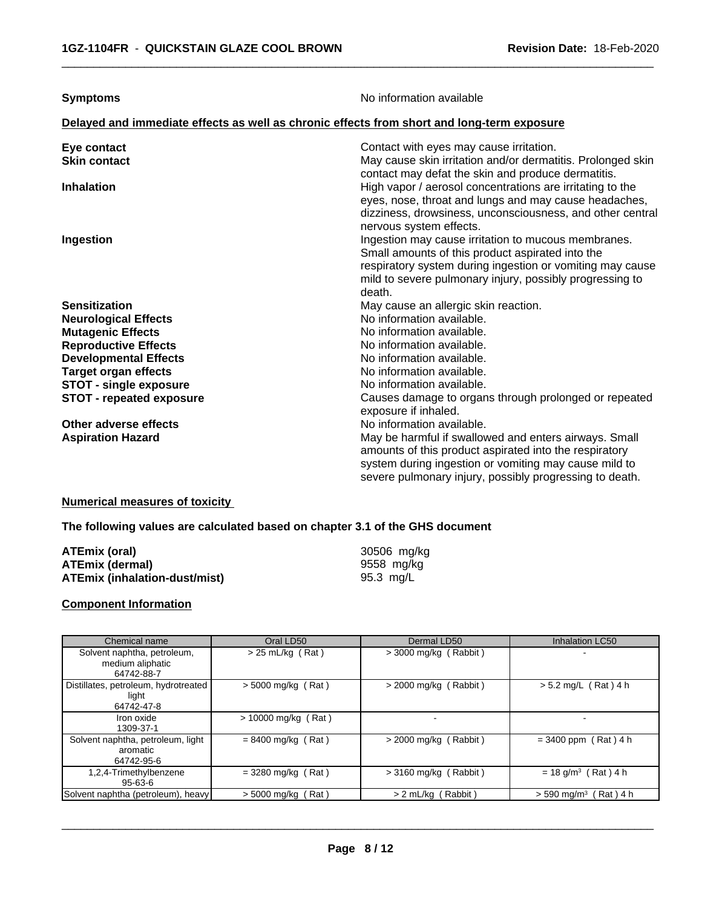| Delayed and immediate effects as well as chronic effects from short and long-term exposure<br>Contact with eyes may cause irritation.<br>Eye contact<br><b>Skin contact</b><br>May cause skin irritation and/or dermatitis. Prolonged skin<br>contact may defat the skin and produce dermatitis.<br>High vapor / aerosol concentrations are irritating to the<br><b>Inhalation</b><br>eyes, nose, throat and lungs and may cause headaches,<br>dizziness, drowsiness, unconsciousness, and other central<br>nervous system effects.<br>Ingestion may cause irritation to mucous membranes.<br>Ingestion<br>Small amounts of this product aspirated into the<br>respiratory system during ingestion or vomiting may cause<br>mild to severe pulmonary injury, possibly progressing to<br>death.<br><b>Sensitization</b><br>May cause an allergic skin reaction.<br>No information available.<br><b>Neurological Effects</b><br>No information available.<br><b>Mutagenic Effects</b><br>No information available.<br><b>Reproductive Effects</b><br><b>Developmental Effects</b><br>No information available.<br>No information available.<br><b>Target organ effects</b><br>STOT - single exposure<br>No information available.<br><b>STOT - repeated exposure</b><br>Causes damage to organs through prolonged or repeated<br>exposure if inhaled. |
|-----------------------------------------------------------------------------------------------------------------------------------------------------------------------------------------------------------------------------------------------------------------------------------------------------------------------------------------------------------------------------------------------------------------------------------------------------------------------------------------------------------------------------------------------------------------------------------------------------------------------------------------------------------------------------------------------------------------------------------------------------------------------------------------------------------------------------------------------------------------------------------------------------------------------------------------------------------------------------------------------------------------------------------------------------------------------------------------------------------------------------------------------------------------------------------------------------------------------------------------------------------------------------------------------------------------------------------------------------|
|                                                                                                                                                                                                                                                                                                                                                                                                                                                                                                                                                                                                                                                                                                                                                                                                                                                                                                                                                                                                                                                                                                                                                                                                                                                                                                                                                     |
|                                                                                                                                                                                                                                                                                                                                                                                                                                                                                                                                                                                                                                                                                                                                                                                                                                                                                                                                                                                                                                                                                                                                                                                                                                                                                                                                                     |
|                                                                                                                                                                                                                                                                                                                                                                                                                                                                                                                                                                                                                                                                                                                                                                                                                                                                                                                                                                                                                                                                                                                                                                                                                                                                                                                                                     |
|                                                                                                                                                                                                                                                                                                                                                                                                                                                                                                                                                                                                                                                                                                                                                                                                                                                                                                                                                                                                                                                                                                                                                                                                                                                                                                                                                     |
|                                                                                                                                                                                                                                                                                                                                                                                                                                                                                                                                                                                                                                                                                                                                                                                                                                                                                                                                                                                                                                                                                                                                                                                                                                                                                                                                                     |
|                                                                                                                                                                                                                                                                                                                                                                                                                                                                                                                                                                                                                                                                                                                                                                                                                                                                                                                                                                                                                                                                                                                                                                                                                                                                                                                                                     |
|                                                                                                                                                                                                                                                                                                                                                                                                                                                                                                                                                                                                                                                                                                                                                                                                                                                                                                                                                                                                                                                                                                                                                                                                                                                                                                                                                     |
|                                                                                                                                                                                                                                                                                                                                                                                                                                                                                                                                                                                                                                                                                                                                                                                                                                                                                                                                                                                                                                                                                                                                                                                                                                                                                                                                                     |
|                                                                                                                                                                                                                                                                                                                                                                                                                                                                                                                                                                                                                                                                                                                                                                                                                                                                                                                                                                                                                                                                                                                                                                                                                                                                                                                                                     |
|                                                                                                                                                                                                                                                                                                                                                                                                                                                                                                                                                                                                                                                                                                                                                                                                                                                                                                                                                                                                                                                                                                                                                                                                                                                                                                                                                     |
|                                                                                                                                                                                                                                                                                                                                                                                                                                                                                                                                                                                                                                                                                                                                                                                                                                                                                                                                                                                                                                                                                                                                                                                                                                                                                                                                                     |
|                                                                                                                                                                                                                                                                                                                                                                                                                                                                                                                                                                                                                                                                                                                                                                                                                                                                                                                                                                                                                                                                                                                                                                                                                                                                                                                                                     |
|                                                                                                                                                                                                                                                                                                                                                                                                                                                                                                                                                                                                                                                                                                                                                                                                                                                                                                                                                                                                                                                                                                                                                                                                                                                                                                                                                     |
| No information available.<br>Other adverse effects                                                                                                                                                                                                                                                                                                                                                                                                                                                                                                                                                                                                                                                                                                                                                                                                                                                                                                                                                                                                                                                                                                                                                                                                                                                                                                  |
| May be harmful if swallowed and enters airways. Small<br><b>Aspiration Hazard</b><br>amounts of this product aspirated into the respiratory<br>system during ingestion or vomiting may cause mild to<br>severe pulmonary injury, possibly progressing to death.                                                                                                                                                                                                                                                                                                                                                                                                                                                                                                                                                                                                                                                                                                                                                                                                                                                                                                                                                                                                                                                                                     |

# **Numerical measures of toxicity**

# **The following values are calculated based on chapter 3.1 of the GHS document**

| ATEmix (oral)                 | 30506 mg/kg |
|-------------------------------|-------------|
| ATEmix (dermal)               | 9558 mg/kg  |
| ATEmix (inhalation-dust/mist) | 95.3 mg/L   |

#### **Component Information**

| Chemical name                                                 | Oral LD50             | Dermal LD50             | Inhalation LC50                           |
|---------------------------------------------------------------|-----------------------|-------------------------|-------------------------------------------|
| Solvent naphtha, petroleum,<br>medium aliphatic<br>64742-88-7 | $> 25$ mL/kg (Rat)    | $>$ 3000 mg/kg (Rabbit) | -                                         |
| Distillates, petroleum, hydrotreated<br>light<br>64742-47-8   | $> 5000$ mg/kg (Rat)  | $>$ 2000 mg/kg (Rabbit) | $> 5.2$ mg/L (Rat) 4 h                    |
| Iron oxide<br>1309-37-1                                       | $> 10000$ mg/kg (Rat) |                         | -                                         |
| Solvent naphtha, petroleum, light<br>aromatic<br>64742-95-6   | $= 8400$ mg/kg (Rat)  | $>$ 2000 mg/kg (Rabbit) | $= 3400$ ppm (Rat) 4 h                    |
| 1,2,4-Trimethylbenzene<br>$95 - 63 - 6$                       | $=$ 3280 mg/kg (Rat)  | $>$ 3160 mg/kg (Rabbit) | $= 18$ g/m <sup>3</sup> (Rat) 4 h         |
| Solvent naphtha (petroleum), heavy                            | $>$ 5000 mg/kg (Rat)  | > 2 mL/kg (Rabbit)      | $> 590$ mg/m <sup>3</sup> (<br>(Rat ) 4 h |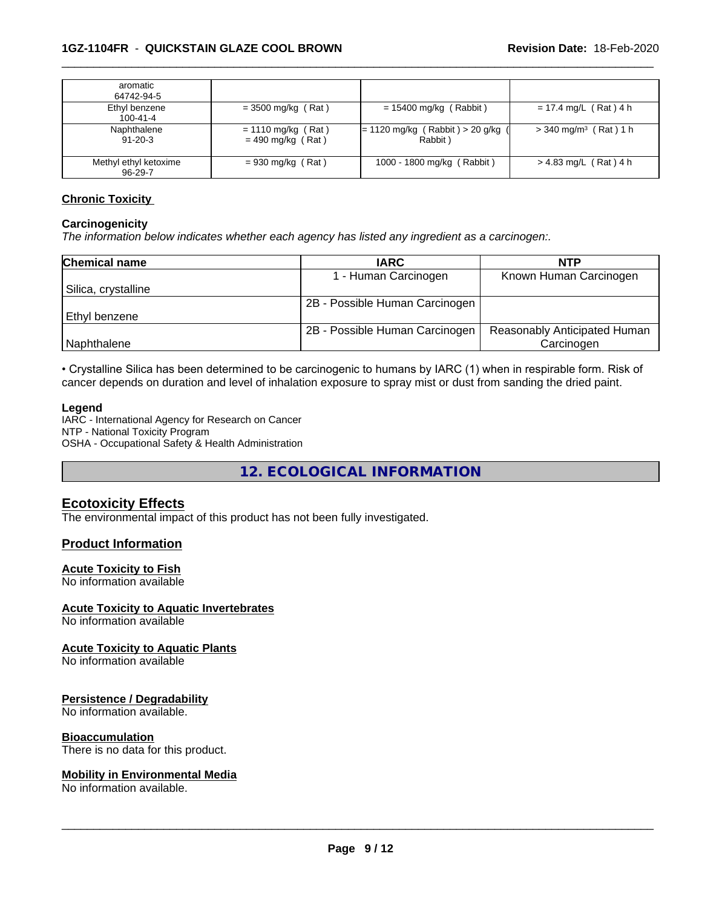| aromatic<br>64742-94-5                 |                                             |                                                |                                     |
|----------------------------------------|---------------------------------------------|------------------------------------------------|-------------------------------------|
| Ethyl benzene<br>100-41-4              | $=$ 3500 mg/kg (Rat)                        | $= 15400$ mg/kg (Rabbit)                       | $= 17.4$ mg/L (Rat) 4 h             |
| Naphthalene<br>$91 - 20 - 3$           | $= 1110$ mg/kg (Rat)<br>$= 490$ mg/kg (Rat) | $= 1120$ mg/kg (Rabbit) > 20 g/kg (<br>Rabbit) | $>$ 340 mg/m <sup>3</sup> (Rat) 1 h |
| Methyl ethyl ketoxime<br>$96 - 29 - 7$ | $= 930$ mg/kg (Rat)                         | 1000 - 1800 mg/kg (Rabbit)                     | $> 4.83$ mg/L (Rat) 4 h             |

#### **Chronic Toxicity**

#### **Carcinogenicity**

*The information below indicateswhether each agency has listed any ingredient as a carcinogen:.*

| <b>Chemical name</b> | <b>IARC</b>                    | <b>NTP</b>                   |
|----------------------|--------------------------------|------------------------------|
|                      | 1 - Human Carcinogen           | Known Human Carcinogen       |
| Silica, crystalline  |                                |                              |
|                      | 2B - Possible Human Carcinogen |                              |
| Ethyl benzene        |                                |                              |
|                      | 2B - Possible Human Carcinogen | Reasonably Anticipated Human |
| Naphthalene          |                                | Carcinogen                   |

• Crystalline Silica has been determined to be carcinogenic to humans by IARC (1) when in respirable form. Risk of cancer depends on duration and level of inhalation exposure to spray mist or dust from sanding the dried paint.

#### **Legend**

IARC - International Agency for Research on Cancer NTP - National Toxicity Program OSHA - Occupational Safety & Health Administration

**12. ECOLOGICAL INFORMATION**

# **Ecotoxicity Effects**

The environmental impact of this product has not been fully investigated.

#### **Product Information**

#### **Acute Toxicity to Fish**

No information available

#### **Acute Toxicity to Aquatic Invertebrates**

No information available

#### **Acute Toxicity to Aquatic Plants**

No information available

# **Persistence / Degradability**

No information available.

#### **Bioaccumulation**

There is no data for this product.

#### **Mobility in Environmental Media**

No information available.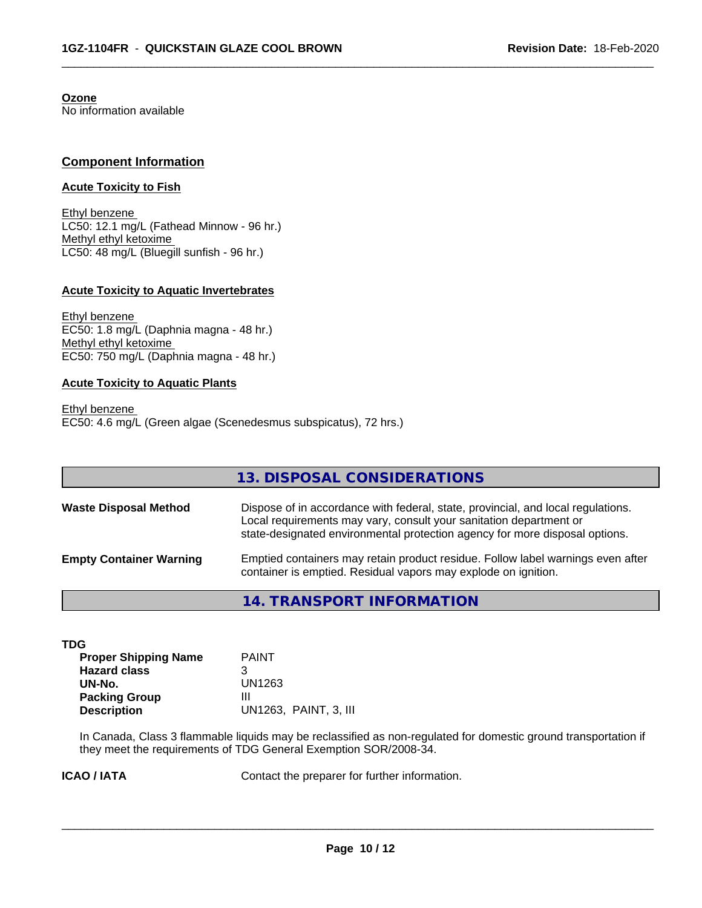**Ozone** No information available

### **Component Information**

#### **Acute Toxicity to Fish**

Ethyl benzene LC50: 12.1 mg/L (Fathead Minnow - 96 hr.) Methyl ethyl ketoxime LC50: 48 mg/L (Bluegill sunfish - 96 hr.)

#### **Acute Toxicity to Aquatic Invertebrates**

Ethyl benzene EC50: 1.8 mg/L (Daphnia magna - 48 hr.) Methyl ethyl ketoxime EC50: 750 mg/L (Daphnia magna - 48 hr.)

#### **Acute Toxicity to Aquatic Plants**

Ethyl benzene EC50: 4.6 mg/L (Green algae (Scenedesmus subspicatus), 72 hrs.)

|                                | 13. DISPOSAL CONSIDERATIONS                                                                                                                                                                                                           |
|--------------------------------|---------------------------------------------------------------------------------------------------------------------------------------------------------------------------------------------------------------------------------------|
| <b>Waste Disposal Method</b>   | Dispose of in accordance with federal, state, provincial, and local regulations.<br>Local requirements may vary, consult your sanitation department or<br>state-designated environmental protection agency for more disposal options. |
| <b>Empty Container Warning</b> | Emptied containers may retain product residue. Follow label warnings even after<br>container is emptied. Residual vapors may explode on ignition.                                                                                     |

 $\overline{\phantom{a}}$  ,  $\overline{\phantom{a}}$  ,  $\overline{\phantom{a}}$  ,  $\overline{\phantom{a}}$  ,  $\overline{\phantom{a}}$  ,  $\overline{\phantom{a}}$  ,  $\overline{\phantom{a}}$  ,  $\overline{\phantom{a}}$  ,  $\overline{\phantom{a}}$  ,  $\overline{\phantom{a}}$  ,  $\overline{\phantom{a}}$  ,  $\overline{\phantom{a}}$  ,  $\overline{\phantom{a}}$  ,  $\overline{\phantom{a}}$  ,  $\overline{\phantom{a}}$  ,  $\overline{\phantom{a}}$ 

**14. TRANSPORT INFORMATION**

| TDG                         |                       |
|-----------------------------|-----------------------|
| <b>Proper Shipping Name</b> | <b>PAINT</b>          |
| <b>Hazard class</b>         | 3                     |
| UN-No.                      | UN1263                |
| <b>Packing Group</b>        | Ш                     |
| <b>Description</b>          | UN1263. PAINT, 3. III |

In Canada, Class 3 flammable liquids may be reclassified as non-regulated for domestic ground transportation if they meet the requirements of TDG General Exemption SOR/2008-34.

**ICAO / IATA** Contact the preparer for further information.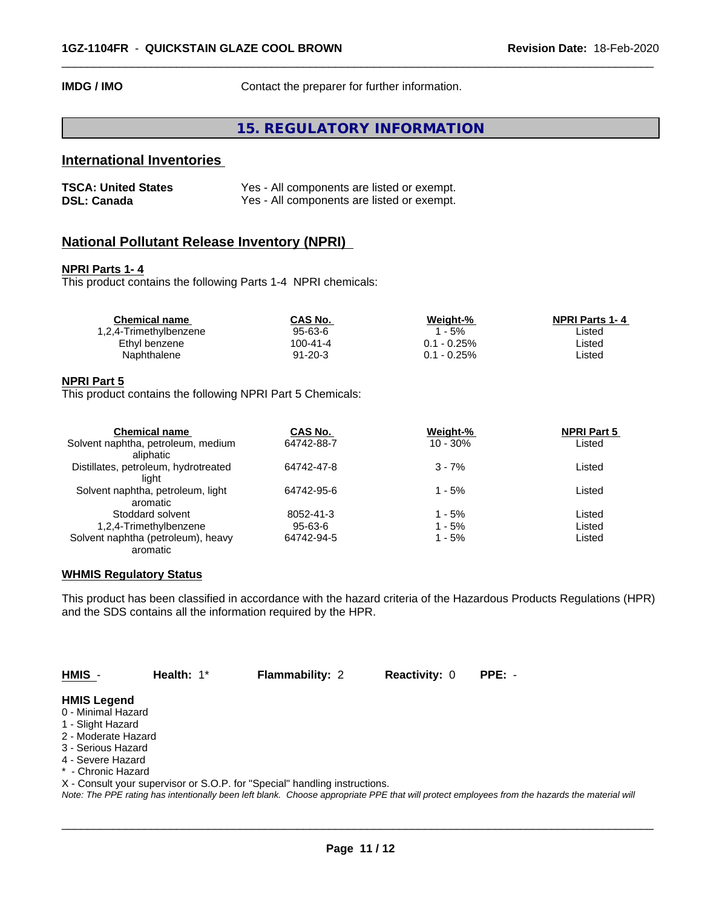**IMDG / IMO** Contact the preparer for further information.

# **15. REGULATORY INFORMATION**

 $\overline{\phantom{a}}$  ,  $\overline{\phantom{a}}$  ,  $\overline{\phantom{a}}$  ,  $\overline{\phantom{a}}$  ,  $\overline{\phantom{a}}$  ,  $\overline{\phantom{a}}$  ,  $\overline{\phantom{a}}$  ,  $\overline{\phantom{a}}$  ,  $\overline{\phantom{a}}$  ,  $\overline{\phantom{a}}$  ,  $\overline{\phantom{a}}$  ,  $\overline{\phantom{a}}$  ,  $\overline{\phantom{a}}$  ,  $\overline{\phantom{a}}$  ,  $\overline{\phantom{a}}$  ,  $\overline{\phantom{a}}$ 

# **International Inventories**

| <b>TSCA: United States</b> | Yes - All components are listed or exempt. |
|----------------------------|--------------------------------------------|
| <b>DSL: Canada</b>         | Yes - All components are listed or exempt. |

# **National Pollutant Release Inventory (NPRI)**

#### **NPRI Parts 1- 4**

This product contains the following Parts 1-4 NPRI chemicals:

| <b>Chemical name</b>   | CAS No.       | Weiaht-%    | <b>NPRI Parts 1-4</b> |
|------------------------|---------------|-------------|-----------------------|
| 1,2,4-Trimethylbenzene | 95-63-6       | - 5%        | ∟isted                |
| Ethyl benzene          | 100-41-4      | 0.1 - 0.25% | ∟isted                |
| Naphthalene            | $91 - 20 - 3$ | 0.1 - 0.25% | ∟isted                |
|                        |               |             |                       |

#### **NPRI Part 5**

This product contains the following NPRI Part 5 Chemicals:

| <b>Chemical name</b>                 | CAS No.    | Weight-%   | <b>NPRI Part 5</b> |  |
|--------------------------------------|------------|------------|--------------------|--|
| Solvent naphtha, petroleum, medium   | 64742-88-7 | $10 - 30%$ | Listed             |  |
| aliphatic                            |            |            |                    |  |
| Distillates, petroleum, hydrotreated | 64742-47-8 | $3 - 7%$   | Listed             |  |
| light                                |            |            |                    |  |
| Solvent naphtha, petroleum, light    | 64742-95-6 | $1 - 5%$   | Listed             |  |
| aromatic                             |            |            |                    |  |
| Stoddard solvent                     | 8052-41-3  | 1 - 5%     | Listed             |  |
| 1,2,4-Trimethylbenzene               | 95-63-6    | 1 - 5%     | Listed             |  |
| Solvent naphtha (petroleum), heavy   | 64742-94-5 | 1 - 5%     | Listed             |  |
| aromatic                             |            |            |                    |  |

#### **WHMIS Regulatory Status**

This product has been classified in accordance with the hazard criteria of the Hazardous Products Regulations (HPR) and the SDS contains all the information required by the HPR.

**HMIS** - **Health:** 1\* **Flammability:** 2 **Reactivity:** 0 **PPE:** -

 $\overline{\phantom{a}}$  ,  $\overline{\phantom{a}}$  ,  $\overline{\phantom{a}}$  ,  $\overline{\phantom{a}}$  ,  $\overline{\phantom{a}}$  ,  $\overline{\phantom{a}}$  ,  $\overline{\phantom{a}}$  ,  $\overline{\phantom{a}}$  ,  $\overline{\phantom{a}}$  ,  $\overline{\phantom{a}}$  ,  $\overline{\phantom{a}}$  ,  $\overline{\phantom{a}}$  ,  $\overline{\phantom{a}}$  ,  $\overline{\phantom{a}}$  ,  $\overline{\phantom{a}}$  ,  $\overline{\phantom{a}}$ 

#### **HMIS Legend**

- 0 Minimal Hazard
- 1 Slight Hazard
- 2 Moderate Hazard
- 3 Serious Hazard
- 4 Severe Hazard
- \* Chronic Hazard
- X Consult your supervisor or S.O.P. for "Special" handling instructions.

*Note: The PPE rating has intentionally been left blank. Choose appropriate PPE that will protect employees from the hazards the material will*